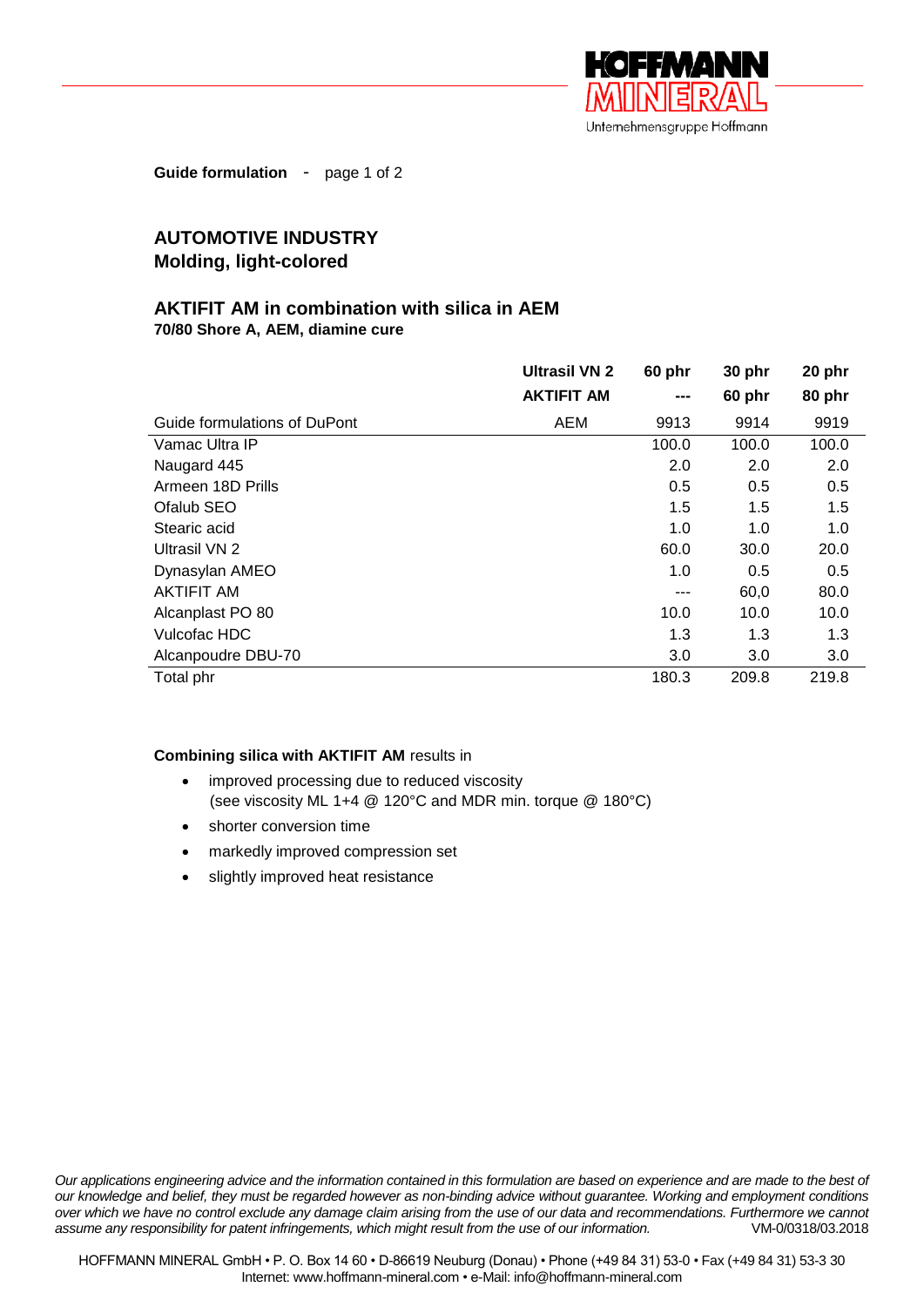

**Guide formulation** - page 1 of 2

## **AUTOMOTIVE INDUSTRY Molding, light-colored**

## **AKTIFIT AM in combination with silica in AEM 70/80 Shore A, AEM, diamine cure**

|                              | <b>Ultrasil VN 2</b> | 60 phr | 30 phr | 20 phr |
|------------------------------|----------------------|--------|--------|--------|
|                              | <b>AKTIFIT AM</b>    | ---    | 60 phr | 80 phr |
| Guide formulations of DuPont | AEM                  | 9913   | 9914   | 9919   |
| Vamac Ultra IP               |                      | 100.0  | 100.0  | 100.0  |
| Naugard 445                  |                      | 2.0    | 2.0    | 2.0    |
| Armeen 18D Prills            |                      | 0.5    | 0.5    | 0.5    |
| Ofalub SEO                   |                      | 1.5    | 1.5    | 1.5    |
| Stearic acid                 |                      | 1.0    | 1.0    | 1.0    |
| Ultrasil VN 2                |                      | 60.0   | 30.0   | 20.0   |
| Dynasylan AMEO               |                      | 1.0    | 0.5    | 0.5    |
| AKTIFIT AM                   |                      | ---    | 60,0   | 80.0   |
| Alcanplast PO 80             |                      | 10.0   | 10.0   | 10.0   |
| Vulcofac HDC                 |                      | 1.3    | 1.3    | 1.3    |
| Alcanpoudre DBU-70           |                      | 3.0    | 3.0    | 3.0    |
| Total phr                    |                      | 180.3  | 209.8  | 219.8  |

## **Combining silica with AKTIFIT AM** results in

- improved processing due to reduced viscosity (see viscosity ML 1+4 @ 120°C and MDR min. torque @ 180°C)
- shorter conversion time
- markedly improved compression set
- slightly improved heat resistance

*Our applications engineering advice and the information contained in this formulation are based on experience and are made to the best of our knowledge and belief, they must be regarded however as non-binding advice without guarantee. Working and employment conditions over which we have no control exclude any damage claim arising from the use of our data and recommendations. Furthermore we cannot assume any responsibility for patent infringements, which might result from the use of our information.* VM-0/0318/03.2018